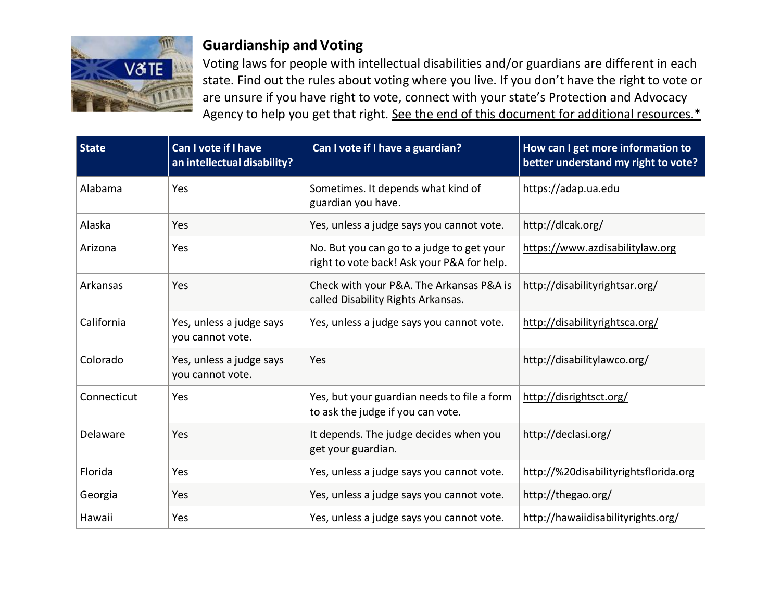

## **Guardianship and Voting**

Voting laws for people with intellectual disabilities and/or guardians are different in each state. Find out the rules about voting where you live. If you don't have the right to vote or are unsure if you have right to vote, connect with your state's Protection and Advocacy Agency to help you get that right. See the end of this document for [additional resources.\\*](#page-3-0)

| <b>State</b> | Can I vote if I have<br>an intellectual disability? | Can I vote if I have a guardian?                                                        | How can I get more information to<br>better understand my right to vote? |
|--------------|-----------------------------------------------------|-----------------------------------------------------------------------------------------|--------------------------------------------------------------------------|
| Alabama      | Yes                                                 | Sometimes. It depends what kind of<br>guardian you have.                                | https://adap.ua.edu                                                      |
| Alaska       | Yes                                                 | Yes, unless a judge says you cannot vote.                                               | http://dlcak.org/                                                        |
| Arizona      | Yes                                                 | No. But you can go to a judge to get your<br>right to vote back! Ask your P&A for help. | https://www.azdisabilitylaw.org                                          |
| Arkansas     | <b>Yes</b>                                          | Check with your P&A. The Arkansas P&A is<br>called Disability Rights Arkansas.          | http://disabilityrightsar.org/                                           |
| California   | Yes, unless a judge says<br>you cannot vote.        | Yes, unless a judge says you cannot vote.                                               | http://disabilityrightsca.org/                                           |
| Colorado     | Yes, unless a judge says<br>you cannot vote.        | Yes                                                                                     | http://disabilitylawco.org/                                              |
| Connecticut  | Yes                                                 | Yes, but your guardian needs to file a form<br>to ask the judge if you can vote.        | http://disrightsct.org/                                                  |
| Delaware     | Yes                                                 | It depends. The judge decides when you<br>get your guardian.                            | http://declasi.org/                                                      |
| Florida      | Yes                                                 | Yes, unless a judge says you cannot vote.                                               | http://%20disabilityrightsflorida.org                                    |
| Georgia      | Yes                                                 | Yes, unless a judge says you cannot vote.                                               | http://thegao.org/                                                       |
| Hawaii       | Yes                                                 | Yes, unless a judge says you cannot vote.                                               | http://hawaiidisabilityrights.org/                                       |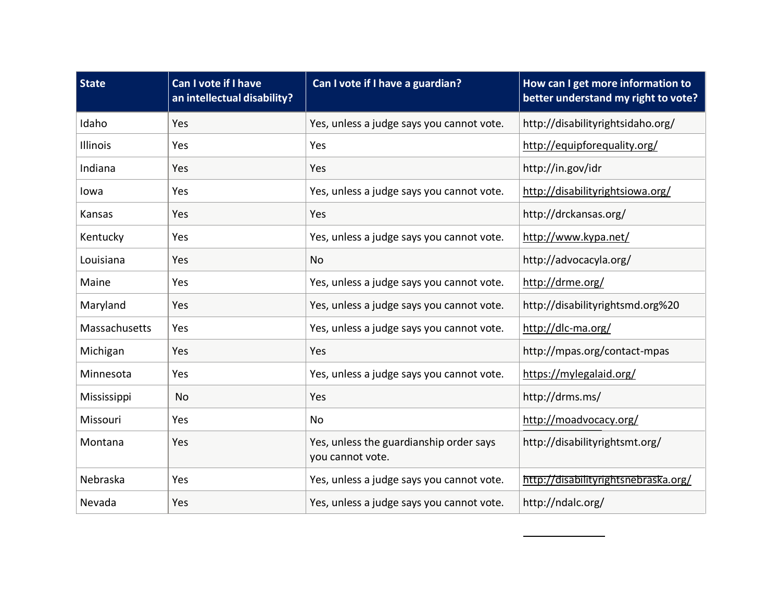| <b>State</b>  | Can I vote if I have<br>an intellectual disability? | Can I vote if I have a guardian?                            | How can I get more information to<br>better understand my right to vote? |
|---------------|-----------------------------------------------------|-------------------------------------------------------------|--------------------------------------------------------------------------|
| Idaho         | Yes                                                 | Yes, unless a judge says you cannot vote.                   | http://disabilityrightsidaho.org/                                        |
| Illinois      | Yes                                                 | Yes                                                         | http://equipforequality.org/                                             |
| Indiana       | Yes                                                 | Yes                                                         | http://in.gov/idr                                                        |
| lowa          | Yes                                                 | Yes, unless a judge says you cannot vote.                   | http://disabilityrightsiowa.org/                                         |
| Kansas        | Yes                                                 | Yes                                                         | http://drckansas.org/                                                    |
| Kentucky      | Yes                                                 | Yes, unless a judge says you cannot vote.                   | http://www.kypa.net/                                                     |
| Louisiana     | Yes                                                 | <b>No</b>                                                   | http://advocacyla.org/                                                   |
| Maine         | Yes                                                 | Yes, unless a judge says you cannot vote.                   | http://drme.org/                                                         |
| Maryland      | Yes                                                 | Yes, unless a judge says you cannot vote.                   | http://disabilityrightsmd.org%20                                         |
| Massachusetts | Yes                                                 | Yes, unless a judge says you cannot vote.                   | http://dlc-ma.org/                                                       |
| Michigan      | Yes                                                 | Yes                                                         | http://mpas.org/contact-mpas                                             |
| Minnesota     | Yes                                                 | Yes, unless a judge says you cannot vote.                   | https://mylegalaid.org/                                                  |
| Mississippi   | <b>No</b>                                           | Yes                                                         | http://drms.ms/                                                          |
| Missouri      | Yes                                                 | <b>No</b>                                                   | http://moadvocacy.org/                                                   |
| Montana       | Yes                                                 | Yes, unless the guardianship order says<br>you cannot vote. | http://disabilityrightsmt.org/                                           |
| Nebraska      | Yes                                                 | Yes, unless a judge says you cannot vote.                   | http://disabilityrightsnebraska.org/                                     |
| Nevada        | Yes                                                 | Yes, unless a judge says you cannot vote.                   | http://ndalc.org/                                                        |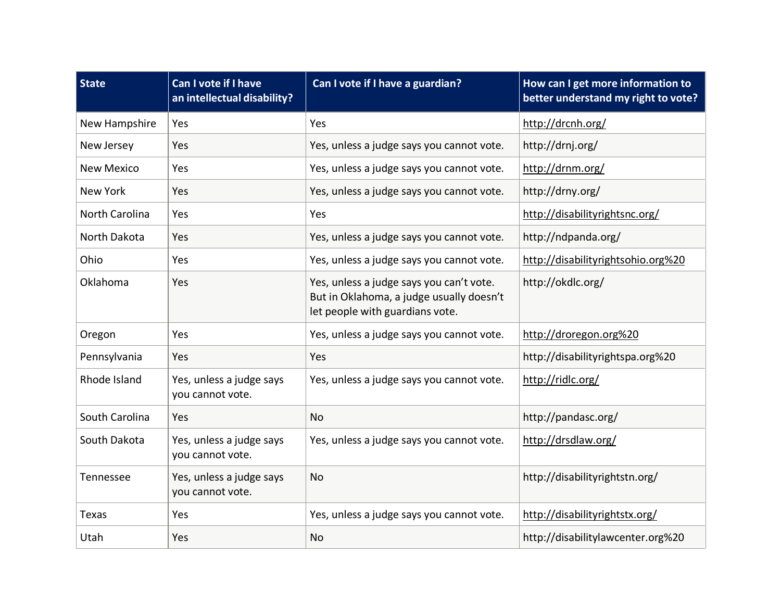| <b>State</b>      | Can I vote if I have<br>an intellectual disability? | Can I vote if I have a guardian?                                                                                        | How can I get more information to<br>better understand my right to vote? |
|-------------------|-----------------------------------------------------|-------------------------------------------------------------------------------------------------------------------------|--------------------------------------------------------------------------|
| New Hampshire     | Yes                                                 | Yes                                                                                                                     | http://drcnh.org/                                                        |
| New Jersey        | Yes                                                 | Yes, unless a judge says you cannot vote.                                                                               | http://drnj.org/                                                         |
| <b>New Mexico</b> | Yes                                                 | Yes, unless a judge says you cannot vote.                                                                               | http://drnm.org/                                                         |
| New York          | Yes                                                 | Yes, unless a judge says you cannot vote.                                                                               | http://drny.org/                                                         |
| North Carolina    | Yes                                                 | Yes                                                                                                                     | http://disabilityrightsnc.org/                                           |
| North Dakota      | Yes                                                 | Yes, unless a judge says you cannot vote.                                                                               | http://ndpanda.org/                                                      |
| Ohio              | Yes                                                 | Yes, unless a judge says you cannot vote.                                                                               | http://disabilityrightsohio.org%20                                       |
| Oklahoma          | Yes                                                 | Yes, unless a judge says you can't vote.<br>But in Oklahoma, a judge usually doesn't<br>let people with guardians vote. | http://okdlc.org/                                                        |
| Oregon            | Yes                                                 | Yes, unless a judge says you cannot vote.                                                                               | http://droregon.org%20                                                   |
| Pennsylvania      | Yes                                                 | Yes                                                                                                                     | http://disabilityrightspa.org%20                                         |
| Rhode Island      | Yes, unless a judge says<br>you cannot vote.        | Yes, unless a judge says you cannot vote.                                                                               | http://ridlc.org/                                                        |
| South Carolina    | Yes                                                 | <b>No</b>                                                                                                               | http://pandasc.org/                                                      |
| South Dakota      | Yes, unless a judge says<br>you cannot vote.        | Yes, unless a judge says you cannot vote.                                                                               | http://drsdlaw.org/                                                      |
| Tennessee         | Yes, unless a judge says<br>you cannot vote.        | <b>No</b>                                                                                                               | http://disabilityrightstn.org/                                           |
| <b>Texas</b>      | Yes                                                 | Yes, unless a judge says you cannot vote.                                                                               | http://disabilityrightstx.org/                                           |
| Utah              | Yes                                                 | <b>No</b>                                                                                                               | http://disabilitylawcenter.org%20                                        |